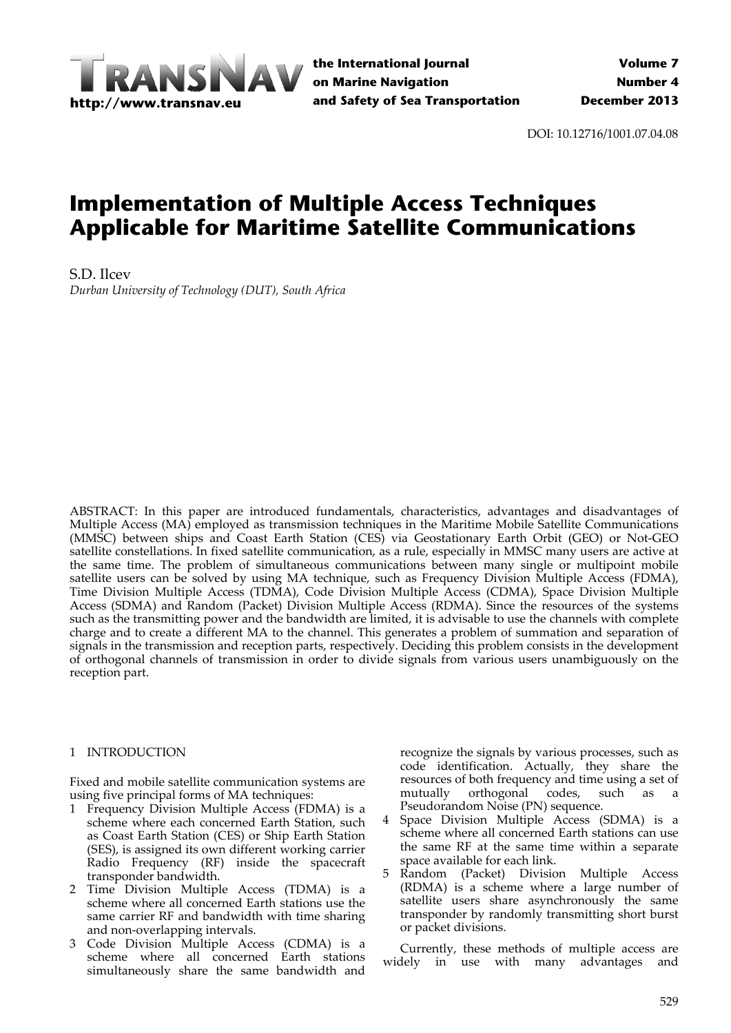

**the International Journal on Marine Navigation and Safety of Sea Transportation**

DOI: 10.12716/1001.07.04.08

# **Implementation of Multiple Access Techniques Applicable for Maritime Satellite Communications**

S.D. Ilcev *Durban University of Technology (DUT), South Africa*

ABSTRACT: In this paper are introduced fundamentals, characteristics, advantages and disadvantages of Multiple Access (MA) employed as transmission techniques in the Maritime Mobile Satellite Communications (MMSC) between ships and Coast Earth Station (CES) via Geostationary Earth Orbit (GEO) or Not‐GEO satellite constellations. In fixed satellite communication, as a rule, especially in MMSC many users are active at the same time. The problem of simultaneous communications between many single or multipoint mobile satellite users can be solved by using MA technique, such as Frequency Division Multiple Access (FDMA), Time Division Multiple Access (TDMA), Code Division Multiple Access (CDMA), Space Division Multiple Access (SDMA) and Random (Packet) Division Multiple Access (RDMA). Since the resources of the systems such as the transmitting power and the bandwidth are limited, it is advisable to use the channels with complete charge and to create a different MA to the channel. This generates a problem of summation and separation of signals in the transmission and reception parts, respectively. Deciding this problem consists in the development of orthogonal channels of transmission in order to divide signals from various users unambiguously on the reception part.

# 1 INTRODUCTION

Fixed and mobile satellite communication systems are using five principal forms of MA techniques:

- 1 Frequency Division Multiple Access (FDMA) is a scheme where each concerned Earth Station, such as Coast Earth Station (CES) or Ship Earth Station (SES), is assigned its own different working carrier Radio Frequency (RF) inside the spacecraft transponder bandwidth.
- 2 Time Division Multiple Access (TDMA) is a scheme where all concerned Earth stations use the same carrier RF and bandwidth with time sharing and non‐overlapping intervals.
- 3 Code Division Multiple Access (CDMA) is a scheme where all concerned Earth stations simultaneously share the same bandwidth and

recognize the signals by various processes, such as code identification. Actually, they share the resources of both frequency and time using a set of mutually orthogonal codes, such as a Pseudorandom Noise (PN) sequence.

- 4 Space Division Multiple Access (SDMA) is a scheme where all concerned Earth stations can use the same RF at the same time within a separate space available for each link.
- 5 Random (Packet) Division Multiple Access (RDMA) is a scheme where a large number of satellite users share asynchronously the same transponder by randomly transmitting short burst or packet divisions.

Currently, these methods of multiple access are widely in use with many advantages and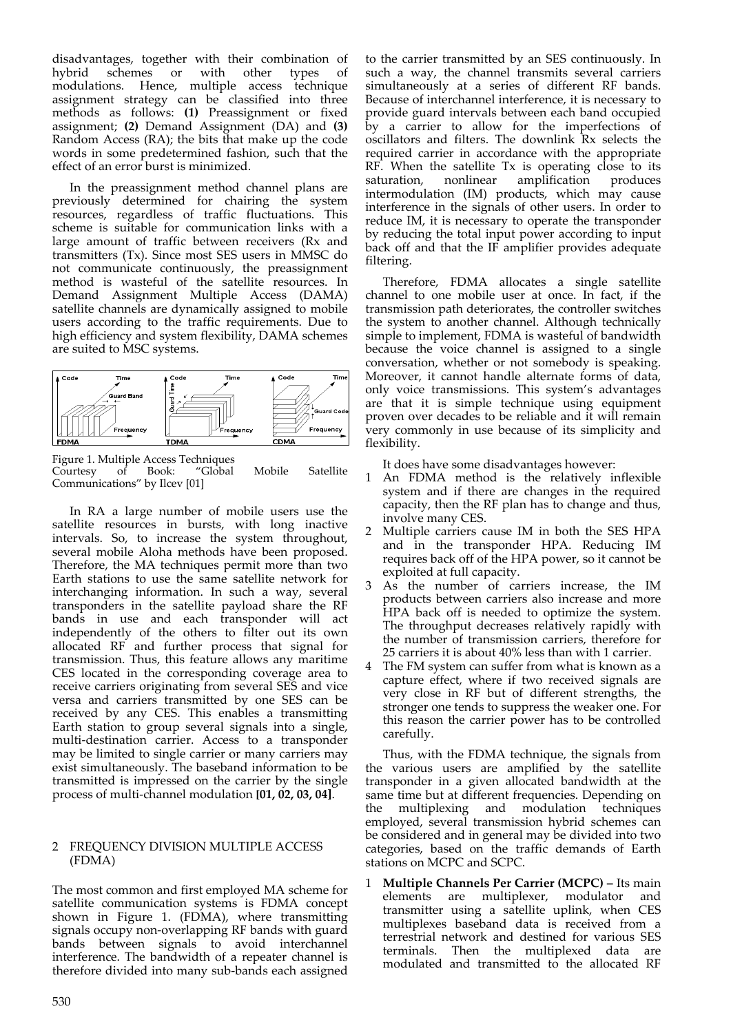disadvantages, together with their combination of<br>hybrid schemes or with other types of hybrid schemes or with other types of modulations. Hence, multiple access technique assignment strategy can be classified into three methods as follows: **(1)** Preassignment or fixed assignment; **(2)** Demand Assignment (DA) and **(3)** Random Access (RA); the bits that make up the code words in some predetermined fashion, such that the effect of an error burst is minimized.

In the preassignment method channel plans are previously determined for chairing the system resources, regardless of traffic fluctuations. This scheme is suitable for communication links with a large amount of traffic between receivers (Rx and transmitters (Tx). Since most SES users in MMSC do not communicate continuously, the preassignment method is wasteful of the satellite resources. In Demand Assignment Multiple Access (DAMA) satellite channels are dynamically assigned to mobile users according to the traffic requirements. Due to high efficiency and system flexibility, DAMA schemes are suited to MSC systems.



Figure 1. Multiple Access Techniques Courtesy of Book: "Global Mobile Satellite Communications" by Ilcev [01]

In RA a large number of mobile users use the satellite resources in bursts, with long inactive intervals. So, to increase the system throughout, several mobile Aloha methods have been proposed. Therefore, the MA techniques permit more than two Earth stations to use the same satellite network for interchanging information. In such a way, several transponders in the satellite payload share the RF bands in use and each transponder will act independently of the others to filter out its own allocated RF and further process that signal for transmission. Thus, this feature allows any maritime CES located in the corresponding coverage area to receive carriers originating from several SES and vice versa and carriers transmitted by one SES can be received by any CES. This enables a transmitting Earth station to group several signals into a single, multi‐destination carrier. Access to a transponder may be limited to single carrier or many carriers may exist simultaneously. The baseband information to be transmitted is impressed on the carrier by the single process of multi‐channel modulation **[01, 02, 03, 04]**.

# 2 FREQUENCY DIVISION MULTIPLE ACCESS (FDMA)

The most common and first employed MA scheme for satellite communication systems is FDMA concept shown in Figure 1. (FDMA), where transmitting signals occupy non‐overlapping RF bands with guard bands between signals to avoid interchannel interference. The bandwidth of a repeater channel is therefore divided into many sub‐bands each assigned

to the carrier transmitted by an SES continuously. In such a way, the channel transmits several carriers simultaneously at a series of different RF bands. Because of interchannel interference, it is necessary to provide guard intervals between each band occupied by a carrier to allow for the imperfections of oscillators and filters. The downlink Rx selects the required carrier in accordance with the appropriate RF. When the satellite  $Tx$  is operating close to its saturation, nonlinear amplification produces amplification intermodulation (IM) products, which may cause interference in the signals of other users. In order to reduce IM, it is necessary to operate the transponder by reducing the total input power according to input back off and that the IF amplifier provides adequate filtering.

Therefore, FDMA allocates a single satellite channel to one mobile user at once. In fact, if the transmission path deteriorates, the controller switches the system to another channel. Although technically simple to implement, FDMA is wasteful of bandwidth because the voice channel is assigned to a single conversation, whether or not somebody is speaking. Moreover, it cannot handle alternate forms of data, only voice transmissions. This system's advantages are that it is simple technique using equipment proven over decades to be reliable and it will remain very commonly in use because of its simplicity and flexibility.

It does have some disadvantages however:

- 1 An FDMA method is the relatively inflexible system and if there are changes in the required capacity, then the RF plan has to change and thus, involve many CES.
- 2 Multiple carriers cause IM in both the SES HPA and in the transponder HPA. Reducing IM requires back off of the HPA power, so it cannot be exploited at full capacity.
- 3 As the number of carriers increase, the IM products between carriers also increase and more HPA back off is needed to optimize the system. The throughput decreases relatively rapidly with the number of transmission carriers, therefore for 25 carriers it is about 40% less than with 1 carrier.
- 4 The FM system can suffer from what is known as a capture effect, where if two received signals are very close in RF but of different strengths, the stronger one tends to suppress the weaker one. For this reason the carrier power has to be controlled carefully.

Thus, with the FDMA technique, the signals from the various users are amplified by the satellite transponder in a given allocated bandwidth at the same time but at different frequencies. Depending on the multiplexing and modulation techniques employed, several transmission hybrid schemes can be considered and in general may be divided into two categories, based on the traffic demands of Earth stations on MCPC and SCPC.

1 **Multiple Channels Per Carrier (MCPC) –** Its main elements are multiplexer, modulator and transmitter using a satellite uplink, when CES multiplexes baseband data is received from a terrestrial network and destined for various SES terminals. Then the multiplexed data are modulated and transmitted to the allocated RF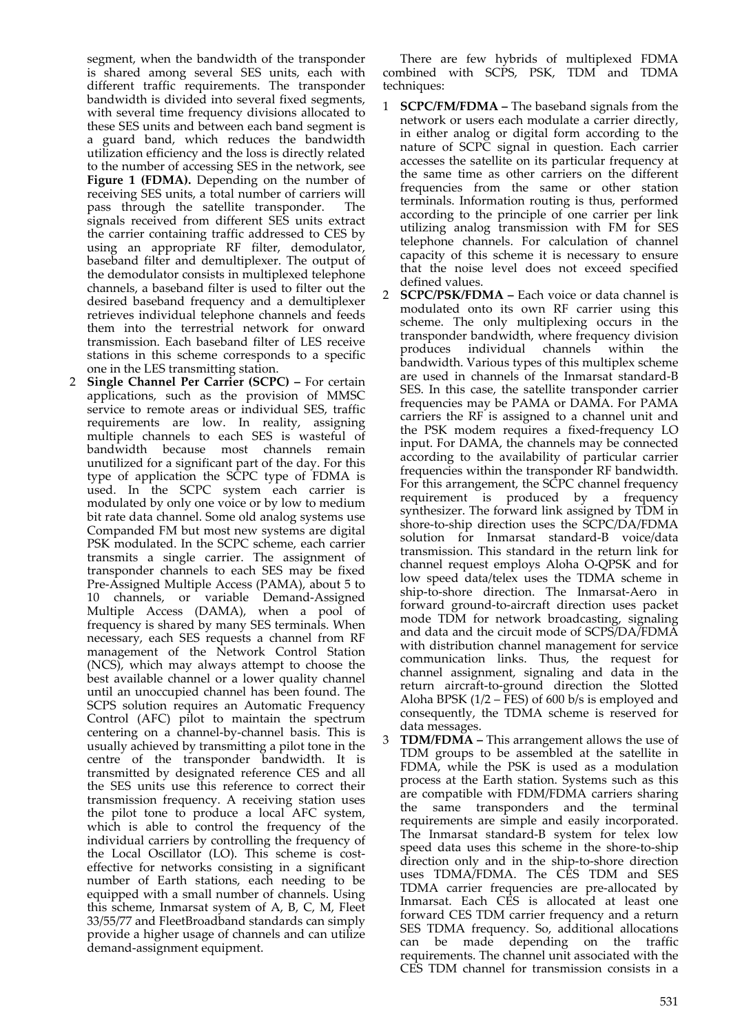segment, when the bandwidth of the transponder is shared among several SES units, each with different traffic requirements. The transponder bandwidth is divided into several fixed segments, with several time frequency divisions allocated to these SES units and between each band segment is a guard band, which reduces the bandwidth utilization efficiency and the loss is directly related to the number of accessing SES in the network, see **Figure 1 (FDMA).** Depending on the number of receiving SES units, a total number of carriers will pass through the satellite transponder. The signals received from different SES units extract the carrier containing traffic addressed to CES by using an appropriate RF filter, demodulator, baseband filter and demultiplexer. The output of the demodulator consists in multiplexed telephone channels, a baseband filter is used to filter out the desired baseband frequency and a demultiplexer retrieves individual telephone channels and feeds them into the terrestrial network for onward transmission. Each baseband filter of LES receive stations in this scheme corresponds to a specific one in the LES transmitting station.

2 **Single Channel Per Carrier (SCPC) –** For certain applications, such as the provision of MMSC service to remote areas or individual SES, traffic requirements are low. In reality, assigning multiple channels to each SES is wasteful of bandwidth because most channels remain unutilized for a significant part of the day. For this type of application the SCPC type of FDMA is used. In the SCPC system each carrier is modulated by only one voice or by low to medium bit rate data channel. Some old analog systems use Companded FM but most new systems are digital PSK modulated. In the SCPC scheme, each carrier transmits a single carrier. The assignment of transponder channels to each SES may be fixed Pre‐Assigned Multiple Access (PAMA), about 5 to 10 channels, or variable Demand-Assigned Multiple Access (DAMA), when a pool of frequency is shared by many SES terminals. When necessary, each SES requests a channel from RF management of the Network Control Station (NCS), which may always attempt to choose the best available channel or a lower quality channel until an unoccupied channel has been found. The SCPS solution requires an Automatic Frequency Control (AFC) pilot to maintain the spectrum centering on a channel‐by‐channel basis. This is usually achieved by transmitting a pilot tone in the centre of the transponder bandwidth. It is transmitted by designated reference CES and all the SES units use this reference to correct their transmission frequency. A receiving station uses the pilot tone to produce a local AFC system, which is able to control the frequency of the individual carriers by controlling the frequency of the Local Oscillator (LO). This scheme is costeffective for networks consisting in a significant number of Earth stations, each needing to be equipped with a small number of channels. Using this scheme, Inmarsat system of A, B, C, M, Fleet 33/55/77 and FleetBroadband standards can simply provide a higher usage of channels and can utilize demand‐assignment equipment.

There are few hybrids of multiplexed FDMA combined with SCPS, PSK, TDM and TDMA techniques:

- **SCPC/FM/FDMA** The baseband signals from the network or users each modulate a carrier directly, in either analog or digital form according to the nature of SCPC signal in question. Each carrier accesses the satellite on its particular frequency at the same time as other carriers on the different frequencies from the same or other station terminals. Information routing is thus, performed according to the principle of one carrier per link utilizing analog transmission with FM for SES telephone channels. For calculation of channel capacity of this scheme it is necessary to ensure that the noise level does not exceed specified defined values.
- 2 **SCPC/PSK/FDMA –** Each voice or data channel is modulated onto its own RF carrier using this scheme. The only multiplexing occurs in the transponder bandwidth, where frequency division produces individual channels within the bandwidth. Various types of this multiplex scheme are used in channels of the Inmarsat standard‐B SES. In this case, the satellite transponder carrier frequencies may be PAMA or DAMA. For PAMA carriers the RF is assigned to a channel unit and the PSK modem requires a fixed‐frequency LO input. For DAMA, the channels may be connected according to the availability of particular carrier frequencies within the transponder RF bandwidth. For this arrangement, the SCPC channel frequency requirement is produced by a frequency synthesizer. The forward link assigned by TDM in shore-to-ship direction uses the SCPC/DA/FDMA solution for Inmarsat standard‐B voice/data transmission. This standard in the return link for channel request employs Aloha O‐QPSK and for low speed data/telex uses the TDMA scheme in ship‐to‐shore direction. The Inmarsat‐Aero in forward ground‐to‐aircraft direction uses packet mode TDM for network broadcasting, signaling and data and the circuit mode of SCPS/DA/FDMA with distribution channel management for service communication links. Thus, the request for channel assignment, signaling and data in the return aircraft‐to‐ground direction the Slotted Aloha BPSK  $(1/2 - FES)$  of 600 b/s is employed and consequently, the TDMA scheme is reserved for data messages.
- 3 **TDM/FDMA –** This arrangement allows the use of TDM groups to be assembled at the satellite in FDMA, while the PSK is used as a modulation process at the Earth station. Systems such as this are compatible with FDM/FDMA carriers sharing the same transponders and the terminal requirements are simple and easily incorporated. The Inmarsat standard‐B system for telex low speed data uses this scheme in the shore‐to‐ship direction only and in the ship‐to‐shore direction uses TDMA/FDMA. The CES TDM and SES TDMA carrier frequencies are pre‐allocated by Inmarsat. Each CES is allocated at least one forward CES TDM carrier frequency and a return SES TDMA frequency. So, additional allocations can be made depending on the traffic requirements. The channel unit associated with the CES TDM channel for transmission consists in a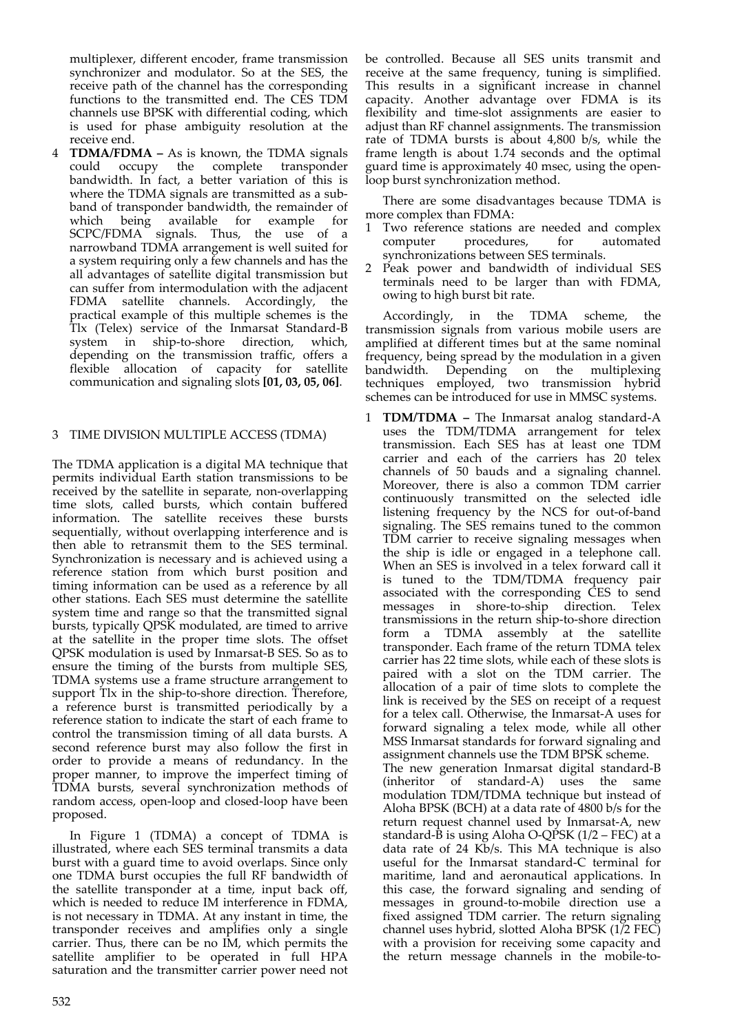multiplexer, different encoder, frame transmission synchronizer and modulator. So at the SES, the receive path of the channel has the corresponding functions to the transmitted end. The CES TDM channels use BPSK with differential coding, which is used for phase ambiguity resolution at the receive end.

4 **TDMA/FDMA –** As is known, the TDMA signals could occupy the complete transponder bandwidth. In fact, a better variation of this is where the TDMA signals are transmitted as a subband of transponder bandwidth, the remainder of<br>which being available for example for available for example SCPC/FDMA signals. Thus, the use of a narrowband TDMA arrangement is well suited for a system requiring only a few channels and has the all advantages of satellite digital transmission but can suffer from intermodulation with the adjacent FDMA satellite channels. Accordingly, the practical example of this multiple schemes is the Tlx (Telex) service of the Inmarsat Standard‐B system in ship‐to‐shore direction, which, depending on the transmission traffic, offers a flexible allocation of capacity for satellite communication and signaling slots **[01, 03, 05, 06]**.

# 3 TIME DIVISION MULTIPLE ACCESS (TDMA)

The TDMA application is a digital MA technique that permits individual Earth station transmissions to be received by the satellite in separate, non‐overlapping time slots, called bursts, which contain buffered information. The satellite receives these bursts sequentially, without overlapping interference and is then able to retransmit them to the SES terminal. Synchronization is necessary and is achieved using a reference station from which burst position and timing information can be used as a reference by all other stations. Each SES must determine the satellite system time and range so that the transmitted signal bursts, typically QPSK modulated, are timed to arrive at the satellite in the proper time slots. The offset QPSK modulation is used by Inmarsat‐B SES. So as to ensure the timing of the bursts from multiple SES, TDMA systems use a frame structure arrangement to support Tlx in the ship-to-shore direction. Therefore, a reference burst is transmitted periodically by a reference station to indicate the start of each frame to control the transmission timing of all data bursts. A second reference burst may also follow the first in order to provide a means of redundancy. In the proper manner, to improve the imperfect timing of TDMA bursts, several synchronization methods of random access, open‐loop and closed‐loop have been proposed.

In Figure 1 (TDMA) a concept of TDMA is illustrated, where each SES terminal transmits a data burst with a guard time to avoid overlaps. Since only one TDMA burst occupies the full RF bandwidth of the satellite transponder at a time, input back off, which is needed to reduce IM interference in FDMA, is not necessary in TDMA. At any instant in time, the transponder receives and amplifies only a single carrier. Thus, there can be no IM, which permits the satellite amplifier to be operated in full HPA saturation and the transmitter carrier power need not be controlled. Because all SES units transmit and receive at the same frequency, tuning is simplified. This results in a significant increase in channel capacity. Another advantage over FDMA is its flexibility and time‐slot assignments are easier to adjust than RF channel assignments. The transmission rate of TDMA bursts is about 4,800 b/s, while the frame length is about 1.74 seconds and the optimal guard time is approximately 40 msec, using the open‐ loop burst synchronization method.

There are some disadvantages because TDMA is more complex than FDMA:

- 1 Two reference stations are needed and complex computer procedures, for automated synchronizations between SES terminals.
- 2 Peak power and bandwidth of individual SES terminals need to be larger than with FDMA, owing to high burst bit rate.

Accordingly, in the TDMA scheme, the transmission signals from various mobile users are amplified at different times but at the same nominal frequency, being spread by the modulation in a given bandwidth. Depending on the multiplexing techniques employed, two transmission hybrid schemes can be introduced for use in MMSC systems.

1 **TDM/TDMA –** The Inmarsat analog standard‐A uses the TDM/TDMA arrangement for telex transmission. Each SES has at least one TDM carrier and each of the carriers has 20 telex channels of 50 bauds and a signaling channel. Moreover, there is also a common TDM carrier continuously transmitted on the selected idle listening frequency by the NCS for out‐of‐band signaling. The SES remains tuned to the common TDM carrier to receive signaling messages when the ship is idle or engaged in a telephone call. When an SES is involved in a telex forward call it is tuned to the TDM/TDMA frequency pair associated with the corresponding CES to send messages in shore‐to‐ship direction. Telex transmissions in the return ship‐to‐shore direction form a TDMA assembly at the satellite transponder. Each frame of the return TDMA telex carrier has 22 time slots, while each of these slots is paired with a slot on the TDM carrier. The allocation of a pair of time slots to complete the link is received by the SES on receipt of a request for a telex call. Otherwise, the Inmarsat‐A uses for forward signaling a telex mode, while all other MSS Inmarsat standards for forward signaling and assignment channels use the TDM BPSK scheme. The new generation Inmarsat digital standard‐B (inheritor of standard‐A) uses the same modulation TDM/TDMA technique but instead of Aloha BPSK (BCH) at a data rate of 4800 b/s for the return request channel used by Inmarsat‐A, new standard‐B is using Aloha O‐QPSK (1/2 – FEC) at a data rate of 24 Kb/s. This MA technique is also useful for the Inmarsat standard‐C terminal for maritime, land and aeronautical applications. In this case, the forward signaling and sending of messages in ground‐to‐mobile direction use a fixed assigned TDM carrier. The return signaling channel uses hybrid, slotted Aloha BPSK (1/2 FEC) with a provision for receiving some capacity and the return message channels in the mobile‐to‐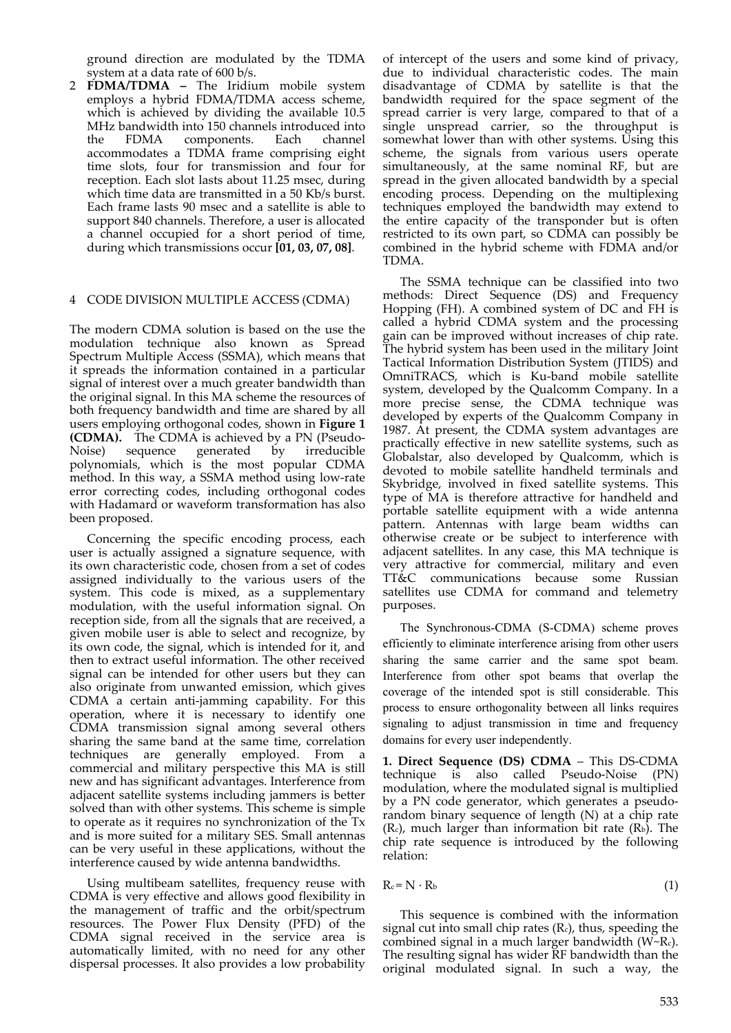ground direction are modulated by the TDMA system at a data rate of 600 b/s.

2 **FDMA/TDMA –** The Iridium mobile system employs a hybrid FDMA/TDMA access scheme, which is achieved by dividing the available 10.5 MHz bandwidth into 150 channels introduced into the FDMA components. Each channel accommodates a TDMA frame comprising eight time slots, four for transmission and four for reception. Each slot lasts about 11.25 msec, during which time data are transmitted in a 50 Kb/s burst. Each frame lasts 90 msec and a satellite is able to support 840 channels. Therefore, a user is allocated a channel occupied for a short period of time, during which transmissions occur **[01, 03, 07, 08]**.

# 4 CODE DIVISION MULTIPLE ACCESS (CDMA)

The modern CDMA solution is based on the use the modulation technique also known as Spread Spectrum Multiple Access (SSMA), which means that it spreads the information contained in a particular signal of interest over a much greater bandwidth than the original signal. In this MA scheme the resources of both frequency bandwidth and time are shared by all users employing orthogonal codes, shown in **Figure 1 (CDMA).** The CDMA is achieved by a PN (Pseudo-Noise) sequence generated by irreducible polynomials, which is the most popular CDMA method. In this way, a SSMA method using low-rate error correcting codes, including orthogonal codes with Hadamard or waveform transformation has also been proposed.

Concerning the specific encoding process, each user is actually assigned a signature sequence, with its own characteristic code, chosen from a set of codes assigned individually to the various users of the system. This code is mixed, as a supplementary modulation, with the useful information signal. On reception side, from all the signals that are received, a given mobile user is able to select and recognize, by its own code, the signal, which is intended for it, and then to extract useful information. The other received signal can be intended for other users but they can also originate from unwanted emission, which gives CDMA a certain anti‐jamming capability. For this operation, where it is necessary to identify one CDMA transmission signal among several others sharing the same band at the same time, correlation techniques are generally employed. From commercial and military perspective this MA is still new and has significant advantages. Interference from adjacent satellite systems including jammers is better solved than with other systems. This scheme is simple to operate as it requires no synchronization of the Tx and is more suited for a military SES. Small antennas can be very useful in these applications, without the interference caused by wide antenna bandwidths.

Using multibeam satellites, frequency reuse with CDMA is very effective and allows good flexibility in the management of traffic and the orbit/spectrum resources. The Power Flux Density (PFD) of the CDMA signal received in the service area is automatically limited, with no need for any other dispersal processes. It also provides a low probability

of intercept of the users and some kind of privacy, due to individual characteristic codes. The main disadvantage of CDMA by satellite is that the bandwidth required for the space segment of the spread carrier is very large, compared to that of a single unspread carrier, so the throughput is somewhat lower than with other systems. Using this scheme, the signals from various users operate simultaneously, at the same nominal RF, but are spread in the given allocated bandwidth by a special encoding process. Depending on the multiplexing techniques employed the bandwidth may extend to the entire capacity of the transponder but is often restricted to its own part, so CDMA can possibly be combined in the hybrid scheme with FDMA and/or TDMA.

The SSMA technique can be classified into two methods: Direct Sequence (DS) and Frequency Hopping (FH). A combined system of DC and FH is called a hybrid CDMA system and the processing gain can be improved without increases of chip rate. The hybrid system has been used in the military Joint Tactical Information Distribution System (JTIDS) and OmniTRACS, which is Ku‐band mobile satellite system, developed by the Qualcomm Company. In a more precise sense, the CDMA technique was developed by experts of the Qualcomm Company in 1987. At present, the CDMA system advantages are practically effective in new satellite systems, such as Globalstar, also developed by Qualcomm, which is devoted to mobile satellite handheld terminals and Skybridge, involved in fixed satellite systems. This type of MA is therefore attractive for handheld and portable satellite equipment with a wide antenna pattern. Antennas with large beam widths can otherwise create or be subject to interference with adjacent satellites. In any case, this MA technique is very attractive for commercial, military and even TT&C communications because some Russian satellites use CDMA for command and telemetry purposes.

The Synchronous-CDMA (S-CDMA) scheme proves efficiently to eliminate interference arising from other users sharing the same carrier and the same spot beam. Interference from other spot beams that overlap the coverage of the intended spot is still considerable. This process to ensure orthogonality between all links requires signaling to adjust transmission in time and frequency domains for every user independently.

**1. Direct Sequence (DS) CDMA** – This DS‐CDMA technique is also called Pseudo‐Noise (PN) modulation, where the modulated signal is multiplied by a PN code generator, which generates a pseudo‐ random binary sequence of length (N) at a chip rate  $(R_c)$ , much larger than information bit rate  $(R_b)$ . The chip rate sequence is introduced by the following relation:

$$
R_c = N \cdot R_b \tag{1}
$$

This sequence is combined with the information signal cut into small chip rates  $(R_c)$ , thus, speeding the combined signal in a much larger bandwidth (W~Rc). The resulting signal has wider RF bandwidth than the original modulated signal. In such a way, the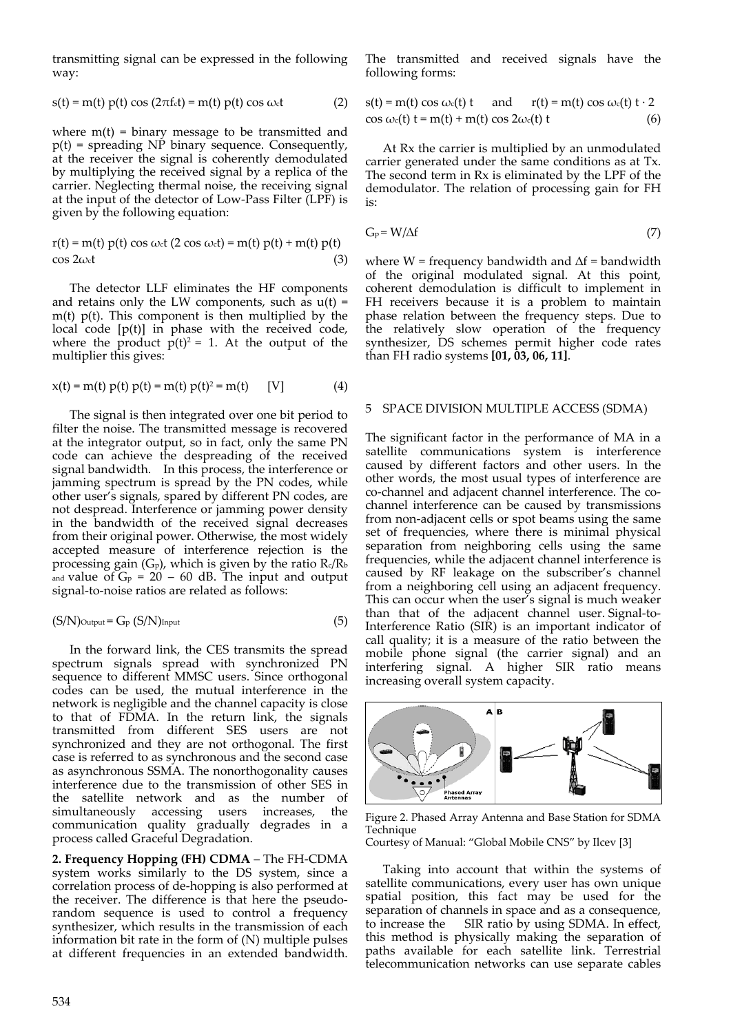transmitting signal can be expressed in the following way:

$$
s(t) = m(t) p(t) \cos(2\pi f_c t) = m(t) p(t) \cos \omega_c t \tag{2}
$$

where  $m(t)$  = binary message to be transmitted and  $p(t)$  = spreading NP binary sequence. Consequently, at the receiver the signal is coherently demodulated by multiplying the received signal by a replica of the carrier. Neglecting thermal noise, the receiving signal at the input of the detector of Low‐Pass Filter (LPF) is given by the following equation:

$$
r(t) = m(t) p(t) \cos \omega_c t (2 \cos \omega_c t) = m(t) p(t) + m(t) p(t)
$$
  
cos 2\omega\_c t (3)

The detector LLF eliminates the HF components and retains only the LW components, such as  $u(t)$  = m(t) p(t). This component is then multiplied by the local code [p(t)] in phase with the received code, where the product  $p(t)^2 = 1$ . At the output of the multiplier this gives:

$$
x(t) = m(t) p(t) p(t) = m(t) p(t)^2 = m(t)
$$
 [V] (4)

The signal is then integrated over one bit period to filter the noise. The transmitted message is recovered at the integrator output, so in fact, only the same PN code can achieve the despreading of the received signal bandwidth. In this process, the interference or jamming spectrum is spread by the PN codes, while other user's signals, spared by different PN codes, are not despread. Interference or jamming power density in the bandwidth of the received signal decreases from their original power. Otherwise, the most widely accepted measure of interference rejection is the processing gain  $(G_P)$ , which is given by the ratio  $R_c/R_b$ and value of  $G_p = 20 - 60$  dB. The input and output signal-to-noise ratios are related as follows:

$$
(S/N)_{\text{Output}} = G_P (S/N)_{\text{Input}} \tag{5}
$$

In the forward link, the CES transmits the spread spectrum signals spread with synchronized PN sequence to different MMSC users. Since orthogonal codes can be used, the mutual interference in the network is negligible and the channel capacity is close to that of FDMA. In the return link, the signals transmitted from different SES users are not synchronized and they are not orthogonal. The first case is referred to as synchronous and the second case as asynchronous SSMA. The nonorthogonality causes interference due to the transmission of other SES in the satellite network and as the number of simultaneously accessing users increases, the communication quality gradually degrades in a process called Graceful Degradation.

**2. Frequency Hopping (FH) CDMA** – The FH‐CDMA system works similarly to the DS system, since a correlation process of de‐hopping is also performed at the receiver. The difference is that here the pseudorandom sequence is used to control a frequency synthesizer, which results in the transmission of each information bit rate in the form of (N) multiple pulses at different frequencies in an extended bandwidth. The transmitted and received signals have the following forms:

$$
s(t) = m(t) \cos \omega_c(t) t \quad \text{and} \quad r(t) = m(t) \cos \omega_c(t) t \cdot 2
$$
  
cos  $\omega_c(t)$  t = m(t) + m(t) \cos 2\omega\_c(t) t (6)

At Rx the carrier is multiplied by an unmodulated carrier generated under the same conditions as at Tx. The second term in Rx is eliminated by the LPF of the demodulator. The relation of processing gain for FH is:

$$
G_P = W/\Delta f \tag{7}
$$

where W = frequency bandwidth and  $\Delta f$  = bandwidth of the original modulated signal. At this point, coherent demodulation is difficult to implement in FH receivers because it is a problem to maintain phase relation between the frequency steps. Due to the relatively slow operation of the frequency synthesizer, DS schemes permit higher code rates than FH radio systems **[01, 03, 06, 11]**.

#### 5 SPACE DIVISION MULTIPLE ACCESS (SDMA)

The significant factor in the performance of MA in a satellite communications system is interference caused by different factors and other users. In the other words, the most usual types of interference are co-channel and adjacent channel interference. The cochannel interference can be caused by transmissions from non‐adjacent cells or spot beams using the same set of frequencies, where there is minimal physical separation from neighboring cells using the same frequencies, while the adjacent channel interference is caused by RF leakage on the subscriber's channel from a neighboring cell using an adjacent frequency. This can occur when the user's signal is much weaker than that of the adjacent channel user. Signal-to-Interference Ratio (SIR) is an important indicator of call quality; it is a measure of the ratio between the mobile phone signal (the carrier signal) and an interfering signal. A higher SIR ratio means increasing overall system capacity.



Figure 2. Phased Array Antenna and Base Station for SDMA **Technique** Courtesy of Manual: "Global Mobile CNS" by Ilcev [3]

Taking into account that within the systems of satellite communications, every user has own unique spatial position, this fact may be used for the separation of channels in space and as a consequence, to increase the SIR ratio by using SDMA. In effect, this method is physically making the separation of paths available for each satellite link. Terrestrial telecommunication networks can use separate cables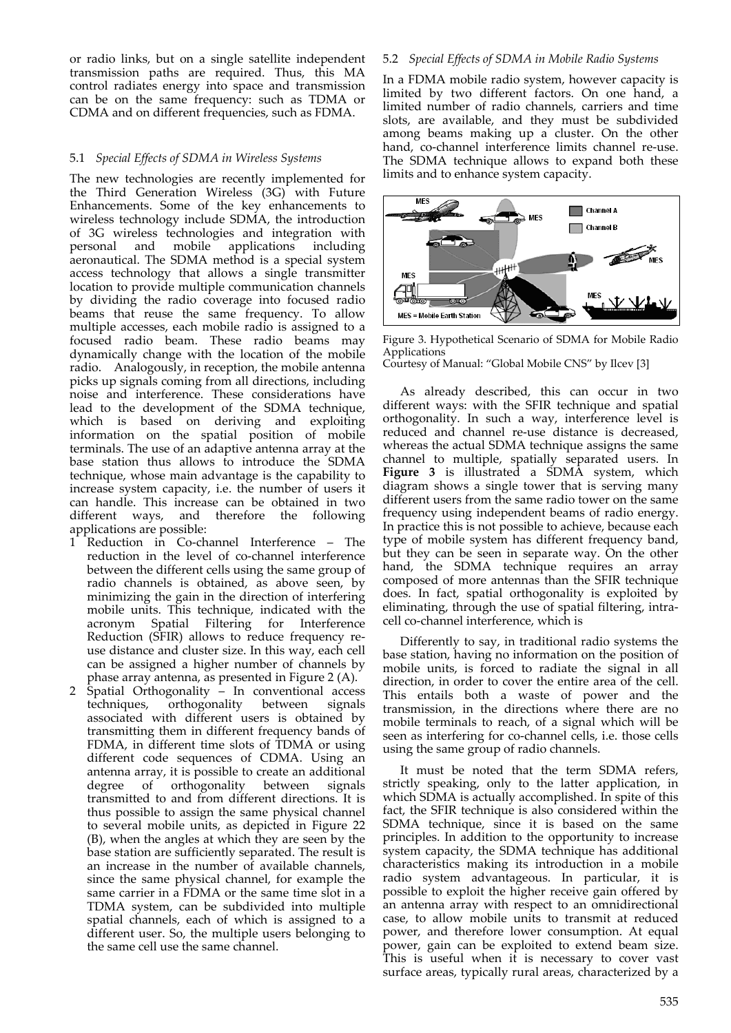or radio links, but on a single satellite independent transmission paths are required. Thus, this MA control radiates energy into space and transmission can be on the same frequency: such as TDMA or CDMA and on different frequencies, such as FDMA.

# 5.1 *Special Effects of SDMA in Wireless Systems*

The new technologies are recently implemented for the Third Generation Wireless (3G) with Future Enhancements. Some of the key enhancements to wireless technology include SDMA, the introduction of 3G wireless technologies and integration with personal and mobile applications including aeronautical. The SDMA method is a special system access technology that allows a single transmitter location to provide multiple communication channels by dividing the radio coverage into focused radio beams that reuse the same frequency. To allow multiple accesses, each mobile radio is assigned to a focused radio beam. These radio beams may dynamically change with the location of the mobile radio. Analogously, in reception, the mobile antenna picks up signals coming from all directions, including noise and interference. These considerations have lead to the development of the SDMA technique, which is based on deriving and exploiting information on the spatial position of mobile terminals. The use of an adaptive antenna array at the base station thus allows to introduce the SDMA technique, whose main advantage is the capability to increase system capacity, i.e. the number of users it can handle. This increase can be obtained in two different ways, and therefore the following and therefore the following applications are possible:

- 1 Reduction in Co-channel Interference The reduction in the level of co-channel interference between the different cells using the same group of radio channels is obtained, as above seen, by minimizing the gain in the direction of interfering mobile units. This technique, indicated with the acronym Spatial Filtering for Interference acronym Spatial Reduction (SFIR) allows to reduce frequency reuse distance and cluster size. In this way, each cell can be assigned a higher number of channels by phase array antenna, as presented in Figure 2 (A).
- 2 Spatial Orthogonality In conventional access techniques, orthogonality between signals associated with different users is obtained by transmitting them in different frequency bands of FDMA, in different time slots of TDMA or using different code sequences of CDMA. Using an antenna array, it is possible to create an additional degree of orthogonality between signals transmitted to and from different directions. It is thus possible to assign the same physical channel to several mobile units, as depicted in Figure 22 (B), when the angles at which they are seen by the base station are sufficiently separated. The result is an increase in the number of available channels, since the same physical channel, for example the same carrier in a FDMA or the same time slot in a TDMA system, can be subdivided into multiple spatial channels, each of which is assigned to a different user. So, the multiple users belonging to the same cell use the same channel.

# 5.2 *Special Effects of SDMA in Mobile Radio Systems*

In a FDMA mobile radio system, however capacity is limited by two different factors. On one hand, a limited number of radio channels, carriers and time slots, are available, and they must be subdivided among beams making up a cluster. On the other hand, co-channel interference limits channel re-use. The SDMA technique allows to expand both these limits and to enhance system capacity.



Figure 3. Hypothetical Scenario of SDMA for Mobile Radio Applications

Courtesy of Manual: "Global Mobile CNS" by Ilcev [3]

As already described, this can occur in two different ways: with the SFIR technique and spatial orthogonality. In such a way, interference level is reduced and channel re‐use distance is decreased, whereas the actual SDMA technique assigns the same channel to multiple, spatially separated users. In **Figure 3** is illustrated a SDMA system, which diagram shows a single tower that is serving many different users from the same radio tower on the same frequency using independent beams of radio energy. In practice this is not possible to achieve, because each type of mobile system has different frequency band, but they can be seen in separate way. On the other hand, the SDMA technique requires an array composed of more antennas than the SFIR technique does. In fact, spatial orthogonality is exploited by eliminating, through the use of spatial filtering, intra‐ cell co‐channel interference, which is

Differently to say, in traditional radio systems the base station, having no information on the position of mobile units, is forced to radiate the signal in all direction, in order to cover the entire area of the cell. This entails both a waste of power and the transmission, in the directions where there are no mobile terminals to reach, of a signal which will be seen as interfering for co-channel cells, i.e. those cells using the same group of radio channels.

It must be noted that the term SDMA refers, strictly speaking, only to the latter application, in which SDMA is actually accomplished. In spite of this fact, the SFIR technique is also considered within the SDMA technique, since it is based on the same principles. In addition to the opportunity to increase system capacity, the SDMA technique has additional characteristics making its introduction in a mobile radio system advantageous. In particular, it is possible to exploit the higher receive gain offered by an antenna array with respect to an omnidirectional case, to allow mobile units to transmit at reduced power, and therefore lower consumption. At equal power, gain can be exploited to extend beam size. This is useful when it is necessary to cover vast surface areas, typically rural areas, characterized by a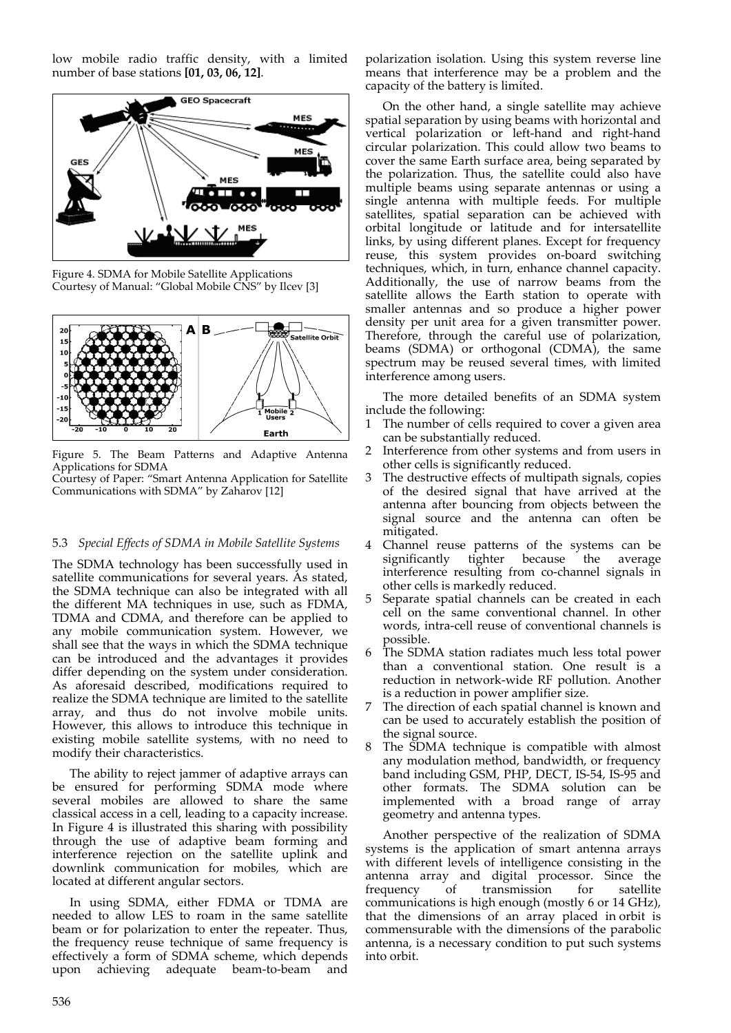low mobile radio traffic density, with a limited number of base stations **[01, 03, 06, 12]**.



Figure 4. SDMA for Mobile Satellite Applications Courtesy of Manual: "Global Mobile CNS" by Ilcev [3]



Figure 5. The Beam Patterns and Adaptive Antenna Applications for SDMA

Courtesy of Paper: "Smart Antenna Application for Satellite Communications with SDMA" by Zaharov [12]

#### 5.3 *Special Effects of SDMA in Mobile Satellite Systems*

The SDMA technology has been successfully used in satellite communications for several years. As stated, the SDMA technique can also be integrated with all the different MA techniques in use, such as FDMA, TDMA and CDMA, and therefore can be applied to any mobile communication system. However, we shall see that the ways in which the SDMA technique can be introduced and the advantages it provides differ depending on the system under consideration. As aforesaid described, modifications required to realize the SDMA technique are limited to the satellite array, and thus do not involve mobile units. However, this allows to introduce this technique in existing mobile satellite systems, with no need to modify their characteristics.

The ability to reject jammer of adaptive arrays can be ensured for performing SDMA mode where several mobiles are allowed to share the same classical access in a cell, leading to a capacity increase. In Figure 4 is illustrated this sharing with possibility through the use of adaptive beam forming and interference rejection on the satellite uplink and downlink communication for mobiles, which are located at different angular sectors.

In using SDMA, either FDMA or TDMA are needed to allow LES to roam in the same satellite beam or for polarization to enter the repeater. Thus, the frequency reuse technique of same frequency is effectively a form of SDMA scheme, which depends upon achieving adequate beam-to-beam and

polarization isolation. Using this system reverse line means that interference may be a problem and the capacity of the battery is limited.

On the other hand, a single satellite may achieve spatial separation by using beams with horizontal and vertical polarization or left‐hand and right‐hand circular polarization. This could allow two beams to cover the same Earth surface area, being separated by the polarization. Thus, the satellite could also have multiple beams using separate antennas or using a single antenna with multiple feeds. For multiple satellites, spatial separation can be achieved with orbital longitude or latitude and for intersatellite links, by using different planes. Except for frequency reuse, this system provides on‐board switching techniques, which, in turn, enhance channel capacity. Additionally, the use of narrow beams from the satellite allows the Earth station to operate with smaller antennas and so produce a higher power density per unit area for a given transmitter power. Therefore, through the careful use of polarization, beams (SDMA) or orthogonal (CDMA), the same spectrum may be reused several times, with limited interference among users.

The more detailed benefits of an SDMA system include the following:

- 1 The number of cells required to cover a given area can be substantially reduced.
- 2 Interference from other systems and from users in other cells is significantly reduced.
- 3 The destructive effects of multipath signals, copies of the desired signal that have arrived at the antenna after bouncing from objects between the signal source and the antenna can often be mitigated.
- 4 Channel reuse patterns of the systems can be significantly tighter because the average interference resulting from co-channel signals in other cells is markedly reduced.
- 5 Separate spatial channels can be created in each cell on the same conventional channel. In other words, intra‐cell reuse of conventional channels is possible.
- 6 The SDMA station radiates much less total power than a conventional station. One result is a reduction in network‐wide RF pollution. Another is a reduction in power amplifier size.
- 7 The direction of each spatial channel is known and can be used to accurately establish the position of the signal source.
- The SDMA technique is compatible with almost any modulation method, bandwidth, or frequency band including GSM, PHP, DECT, IS‐54, IS‐95 and other formats. The SDMA solution can be implemented with a broad range of array geometry and antenna types.

Another perspective of the realization of SDMA systems is the application of smart antenna arrays with different levels of intelligence consisting in the antenna array and digital processor. Since the of transmission for satellite communications is high enough (mostly 6 or 14 GHz), that the dimensions of an array placed in orbit is commensurable with the dimensions of the parabolic antenna, is a necessary condition to put such systems into orbit.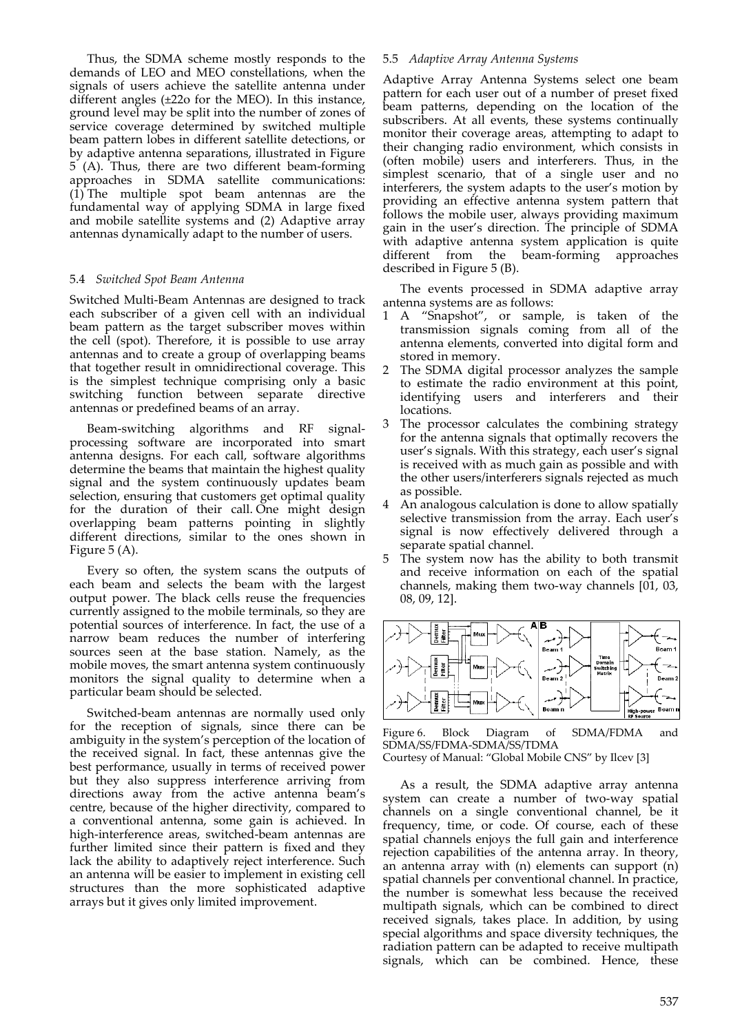Thus, the SDMA scheme mostly responds to the demands of LEO and MEO constellations, when the signals of users achieve the satellite antenna under different angles (±22o for the MEO). In this instance, ground level may be split into the number of zones of service coverage determined by switched multiple beam pattern lobes in different satellite detections, or by adaptive antenna separations, illustrated in Figure 5 (A). Thus, there are two different beam‐forming approaches in SDMA satellite communications:  $(1)$  The multiple spot beam antennas are the fundamental way of applying SDMA in large fixed and mobile satellite systems and (2) Adaptive array antennas dynamically adapt to the number of users.

#### 5.4 *Switched Spot Beam Antenna*

Switched Multi‐Beam Antennas are designed to track each subscriber of a given cell with an individual beam pattern as the target subscriber moves within the cell (spot). Therefore, it is possible to use array antennas and to create a group of overlapping beams that together result in omnidirectional coverage. This is the simplest technique comprising only a basic switching function between separate directive antennas or predefined beams of an array.

Beam‐switching algorithms and RF signal‐ processing software are incorporated into smart antenna designs. For each call, software algorithms determine the beams that maintain the highest quality signal and the system continuously updates beam selection, ensuring that customers get optimal quality for the duration of their call. One might design overlapping beam patterns pointing in slightly different directions, similar to the ones shown in Figure 5 (A).

Every so often, the system scans the outputs of each beam and selects the beam with the largest output power. The black cells reuse the frequencies currently assigned to the mobile terminals, so they are potential sources of interference. In fact, the use of a narrow beam reduces the number of interfering sources seen at the base station. Namely, as the mobile moves, the smart antenna system continuously monitors the signal quality to determine when a particular beam should be selected.

Switched‐beam antennas are normally used only for the reception of signals, since there can be ambiguity in the system's perception of the location of the received signal. In fact, these antennas give the best performance, usually in terms of received power but they also suppress interference arriving from directions away from the active antenna beam's centre, because of the higher directivity, compared to a conventional antenna, some gain is achieved. In high-interference areas, switched-beam antennas are further limited since their pattern is fixed and they lack the ability to adaptively reject interference. Such an antenna will be easier to implement in existing cell structures than the more sophisticated adaptive arrays but it gives only limited improvement.

#### 5.5 *Adaptive Array Antenna Systems*

Adaptive Array Antenna Systems select one beam pattern for each user out of a number of preset fixed beam patterns, depending on the location of the subscribers. At all events, these systems continually monitor their coverage areas, attempting to adapt to their changing radio environment, which consists in (often mobile) users and interferers. Thus, in the simplest scenario, that of a single user and no interferers, the system adapts to the user's motion by providing an effective antenna system pattern that follows the mobile user, always providing maximum gain in the user's direction. The principle of SDMA with adaptive antenna system application is quite different from the beam-forming approaches described in Figure 5 (B).

The events processed in SDMA adaptive array antenna systems are as follows:

- 1 A "Snapshot", or sample, is taken of the transmission signals coming from all of the antenna elements, converted into digital form and stored in memory.
- 2 The SDMA digital processor analyzes the sample to estimate the radio environment at this point, identifying users and interferers and their locations.
- 3 The processor calculates the combining strategy for the antenna signals that optimally recovers the user's signals. With this strategy, each user's signal is received with as much gain as possible and with the other users/interferers signals rejected as much as possible.
- 4 An analogous calculation is done to allow spatially selective transmission from the array. Each user's signal is now effectively delivered through a separate spatial channel.
- The system now has the ability to both transmit and receive information on each of the spatial channels, making them two-way channels  $[01, 03, 03]$ 08, 09, 12].



Figure 6. Block Diagram of SDMA/FDMA and SDMA/SS/FDMA‐SDMA/SS/TDMA Courtesy of Manual: "Global Mobile CNS" by Ilcev [3]

As a result, the SDMA adaptive array antenna system can create a number of two-way spatial channels on a single conventional channel, be it frequency, time, or code. Of course, each of these spatial channels enjoys the full gain and interference rejection capabilities of the antenna array. In theory, an antenna array with (n) elements can support (n) spatial channels per conventional channel. In practice, the number is somewhat less because the received multipath signals, which can be combined to direct received signals, takes place. In addition, by using special algorithms and space diversity techniques, the radiation pattern can be adapted to receive multipath signals, which can be combined. Hence, these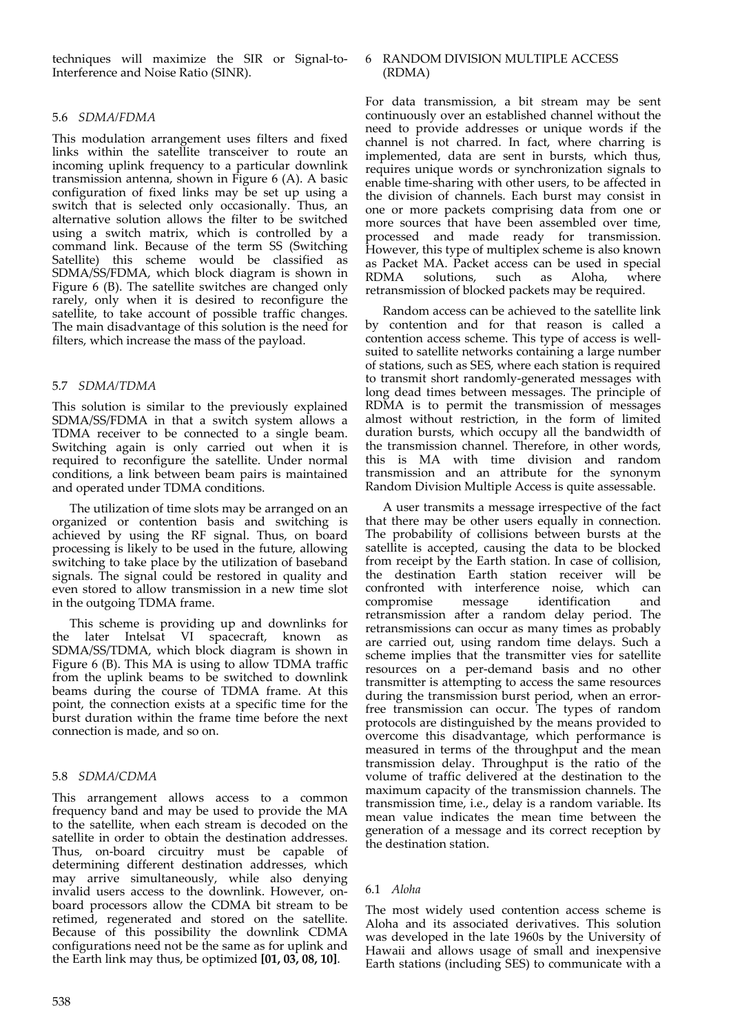techniques will maximize the SIR or Signal-to-Interference and Noise Ratio (SINR).

# 5.6 *SDMA/FDMA*

This modulation arrangement uses filters and fixed links within the satellite transceiver to route an incoming uplink frequency to a particular downlink transmission antenna, shown in Figure 6 (A). A basic configuration of fixed links may be set up using a switch that is selected only occasionally. Thus, an alternative solution allows the filter to be switched using a switch matrix, which is controlled by a command link. Because of the term SS (Switching Satellite) this scheme would be classified as SDMA/SS/FDMA, which block diagram is shown in Figure 6 (B). The satellite switches are changed only rarely, only when it is desired to reconfigure the satellite, to take account of possible traffic changes. The main disadvantage of this solution is the need for filters, which increase the mass of the payload.

# 5.7 *SDMA/TDMA*

This solution is similar to the previously explained SDMA/SS/FDMA in that a switch system allows a TDMA receiver to be connected to a single beam. Switching again is only carried out when it is required to reconfigure the satellite. Under normal conditions, a link between beam pairs is maintained and operated under TDMA conditions.

The utilization of time slots may be arranged on an organized or contention basis and switching is achieved by using the RF signal. Thus, on board processing is likely to be used in the future, allowing switching to take place by the utilization of baseband signals. The signal could be restored in quality and even stored to allow transmission in a new time slot in the outgoing TDMA frame.

This scheme is providing up and downlinks for<br>
later Intelsat VI spacecraft, known as the later Intelsat VI spacecraft, SDMA/SS/TDMA, which block diagram is shown in Figure 6 (B). This MA is using to allow TDMA traffic from the uplink beams to be switched to downlink beams during the course of TDMA frame. At this point, the connection exists at a specific time for the burst duration within the frame time before the next connection is made, and so on.

#### 5.8 *SDMA/CDMA*

This arrangement allows access to a common frequency band and may be used to provide the MA to the satellite, when each stream is decoded on the satellite in order to obtain the destination addresses. Thus, on‐board circuitry must be capable of determining different destination addresses, which may arrive simultaneously, while also denying invalid users access to the downlink. However, on‐ board processors allow the CDMA bit stream to be retimed, regenerated and stored on the satellite. Because of this possibility the downlink CDMA configurations need not be the same as for uplink and the Earth link may thus, be optimized **[01, 03, 08, 10]**.

#### 6 RANDOM DIVISION MULTIPLE ACCESS (RDMA)

For data transmission, a bit stream may be sent continuously over an established channel without the need to provide addresses or unique words if the channel is not charred. In fact, where charring is implemented, data are sent in bursts, which thus, requires unique words or synchronization signals to enable time‐sharing with other users, to be affected in the division of channels. Each burst may consist in one or more packets comprising data from one or more sources that have been assembled over time, processed and made ready for transmission. However, this type of multiplex scheme is also known as Packet MA. Packet access can be used in special RDMA solutions, such as Aloha, where retransmission of blocked packets may be required.

Random access can be achieved to the satellite link by contention and for that reason is called a contention access scheme. This type of access is wellsuited to satellite networks containing a large number of stations, such as SES, where each station is required to transmit short randomly‐generated messages with long dead times between messages. The principle of RDMA is to permit the transmission of messages almost without restriction, in the form of limited duration bursts, which occupy all the bandwidth of the transmission channel. Therefore, in other words, this is MA with time division and random transmission and an attribute for the synonym Random Division Multiple Access is quite assessable.

A user transmits a message irrespective of the fact that there may be other users equally in connection. The probability of collisions between bursts at the satellite is accepted, causing the data to be blocked from receipt by the Earth station. In case of collision, the destination Earth station receiver will be confronted with interference noise, which can compromise message identification and retransmission after a random delay period. The retransmissions can occur as many times as probably are carried out, using random time delays. Such a scheme implies that the transmitter vies for satellite resources on a per‐demand basis and no other transmitter is attempting to access the same resources during the transmission burst period, when an errorfree transmission can occur. The types of random protocols are distinguished by the means provided to overcome this disadvantage, which performance is measured in terms of the throughput and the mean transmission delay. Throughput is the ratio of the volume of traffic delivered at the destination to the maximum capacity of the transmission channels. The transmission time, i.e., delay is a random variable. Its mean value indicates the mean time between the generation of a message and its correct reception by the destination station.

#### 6.1 *Aloha*

The most widely used contention access scheme is Aloha and its associated derivatives. This solution was developed in the late 1960s by the University of Hawaii and allows usage of small and inexpensive Earth stations (including SES) to communicate with a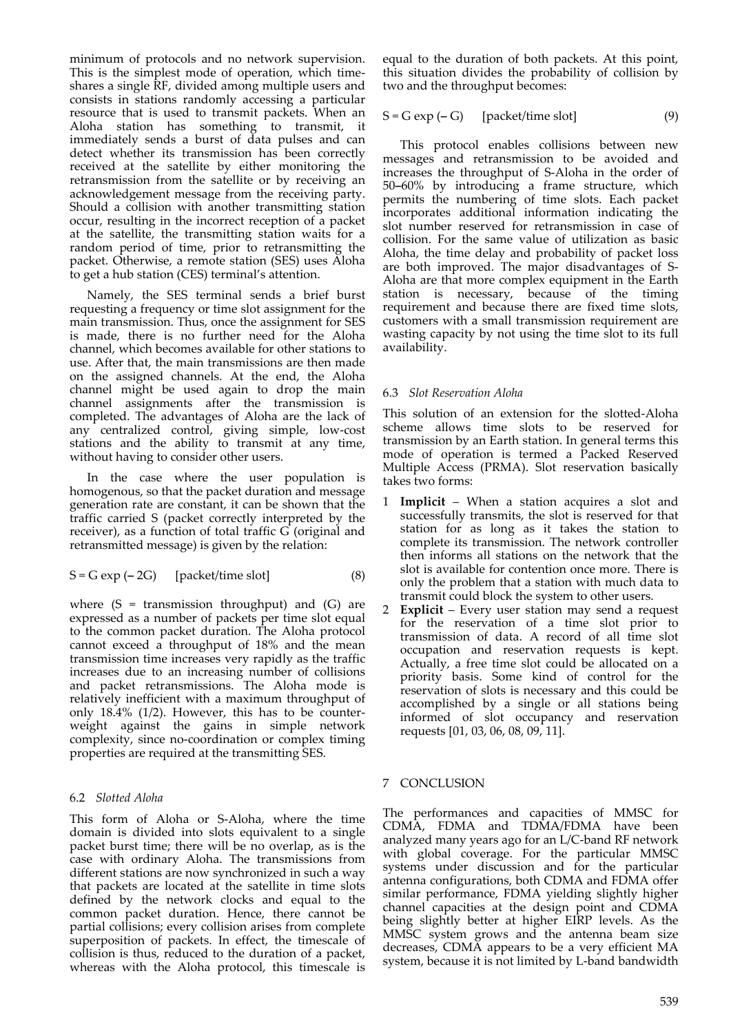minimum of protocols and no network supervision. This is the simplest mode of operation, which time‐ shares a single RF, divided among multiple users and consists in stations randomly accessing a particular resource that is used to transmit packets. When an Aloha station has something to transmit, it immediately sends a burst of data pulses and can detect whether its transmission has been correctly received at the satellite by either monitoring the retransmission from the satellite or by receiving an acknowledgement message from the receiving party. Should a collision with another transmitting station occur, resulting in the incorrect reception of a packet at the satellite, the transmitting station waits for a random period of time, prior to retransmitting the packet. Otherwise, a remote station (SES) uses Aloha to get a hub station (CES) terminal's attention.

Namely, the SES terminal sends a brief burst requesting a frequency or time slot assignment for the main transmission. Thus, once the assignment for SES is made, there is no further need for the Aloha channel, which becomes available for other stations to use. After that, the main transmissions are then made on the assigned channels. At the end, the Aloha channel might be used again to drop the main channel assignments after the transmission is completed. The advantages of Aloha are the lack of any centralized control, giving simple, low‐cost stations and the ability to transmit at any time, without having to consider other users.

In the case where the user population is homogenous, so that the packet duration and message generation rate are constant, it can be shown that the traffic carried S (packet correctly interpreted by the receiver), as a function of total traffic G (original and retransmitted message) is given by the relation:

$$
S = G \exp(-2G) \qquad [packet/time slot] \tag{8}
$$

where  $(S =$  transmission throughput) and  $(G)$  are expressed as a number of packets per time slot equal to the common packet duration. The Aloha protocol cannot exceed a throughput of 18% and the mean transmission time increases very rapidly as the traffic increases due to an increasing number of collisions and packet retransmissions. The Aloha mode is relatively inefficient with a maximum throughput of only  $18.4\%$  (1/2). However, this has to be counterweight against the gains in simple network complexity, since no‐coordination or complex timing properties are required at the transmitting SES.

# 6.2 *Slotted Aloha*

This form of Aloha or S‐Aloha, where the time domain is divided into slots equivalent to a single packet burst time; there will be no overlap, as is the case with ordinary Aloha. The transmissions from different stations are now synchronized in such a way that packets are located at the satellite in time slots defined by the network clocks and equal to the common packet duration. Hence, there cannot be partial collisions; every collision arises from complete superposition of packets. In effect, the timescale of collision is thus, reduced to the duration of a packet, whereas with the Aloha protocol, this timescale is equal to the duration of both packets. At this point, this situation divides the probability of collision by two and the throughput becomes:

$$
S = G \exp(-G) \qquad [packet/time slot] \tag{9}
$$

This protocol enables collisions between new messages and retransmission to be avoided and increases the throughput of S‐Aloha in the order of 50**–**60% by introducing a frame structure, which permits the numbering of time slots. Each packet incorporates additional information indicating the slot number reserved for retransmission in case of collision. For the same value of utilization as basic Aloha, the time delay and probability of packet loss are both improved. The major disadvantages of S‐ Aloha are that more complex equipment in the Earth station is necessary, because of the timing requirement and because there are fixed time slots, customers with a small transmission requirement are wasting capacity by not using the time slot to its full availability.

# 6.3 *Slot Reservation Aloha*

This solution of an extension for the slotted‐Aloha scheme allows time slots to be reserved for transmission by an Earth station. In general terms this mode of operation is termed a Packed Reserved Multiple Access (PRMA). Slot reservation basically takes two forms:

- 1 **Implicit** When a station acquires a slot and successfully transmits, the slot is reserved for that station for as long as it takes the station to complete its transmission. The network controller then informs all stations on the network that the slot is available for contention once more. There is only the problem that a station with much data to transmit could block the system to other users.
- 2 **Explicit** Every user station may send a request for the reservation of a time slot prior to transmission of data. A record of all time slot occupation and reservation requests is kept. Actually, a free time slot could be allocated on a priority basis. Some kind of control for the reservation of slots is necessary and this could be accomplished by a single or all stations being informed of slot occupancy and reservation requests [01, 03, 06, 08, 09, 11].

# 7 CONCLUSION

The performances and capacities of MMSC for CDMA, FDMA and TDMA/FDMA have been analyzed many years ago for an L/C‐band RF network with global coverage. For the particular MMSC systems under discussion and for the particular antenna configurations, both CDMA and FDMA offer similar performance, FDMA yielding slightly higher channel capacities at the design point and CDMA being slightly better at higher EIRP levels. As the MMSC system grows and the antenna beam size decreases, CDMA appears to be a very efficient MA system, because it is not limited by L‐band bandwidth